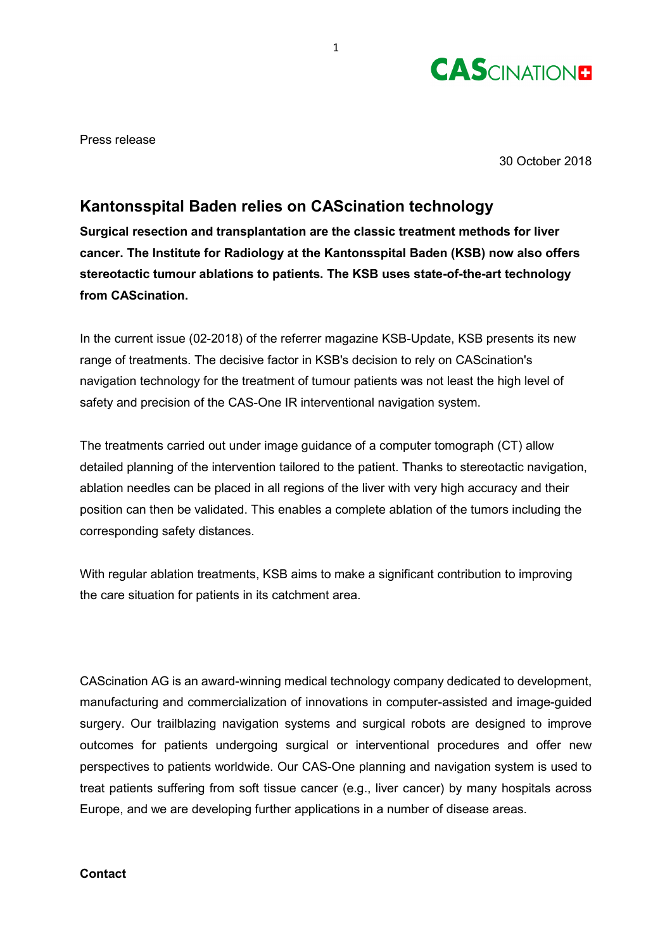

Press release

30 October 2018

## **Kantonsspital Baden relies on CAScination technology**

**Surgical resection and transplantation are the classic treatment methods for liver cancer. The Institute for Radiology at the Kantonsspital Baden (KSB) now also offers stereotactic tumour ablations to patients. The KSB uses state-of-the-art technology from CAScination.**

In the current issue (02-2018) of the referrer magazine KSB-Update, KSB presents its new range of treatments. The decisive factor in KSB's decision to rely on CAScination's navigation technology for the treatment of tumour patients was not least the high level of safety and precision of the CAS-One IR interventional navigation system.

The treatments carried out under image guidance of a computer tomograph (CT) allow detailed planning of the intervention tailored to the patient. Thanks to stereotactic navigation, ablation needles can be placed in all regions of the liver with very high accuracy and their position can then be validated. This enables a complete ablation of the tumors including the corresponding safety distances.

With regular ablation treatments, KSB aims to make a significant contribution to improving the care situation for patients in its catchment area.

CAScination AG is an award-winning medical technology company dedicated to development, manufacturing and commercialization of innovations in computer-assisted and image-guided surgery. Our trailblazing navigation systems and surgical robots are designed to improve outcomes for patients undergoing surgical or interventional procedures and offer new perspectives to patients worldwide. Our CAS-One planning and navigation system is used to treat patients suffering from soft tissue cancer (e.g., liver cancer) by many hospitals across Europe, and we are developing further applications in a number of disease areas.

## **Contact**

1